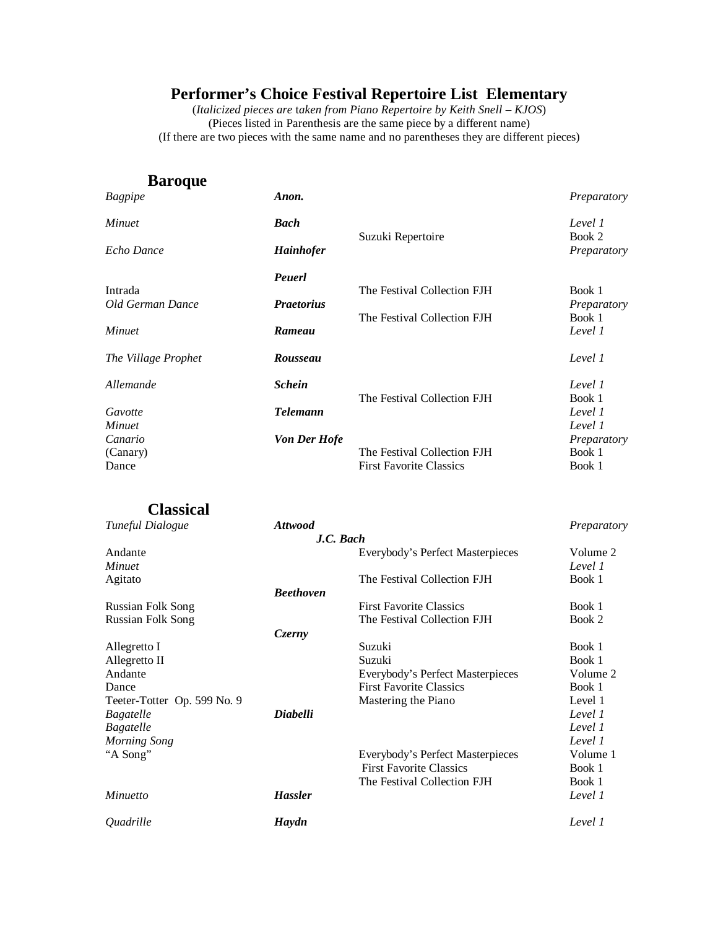(*Italicized pieces are* t*aken from Piano Repertoire by Keith Snell – KJOS*) (Pieces listed in Parenthesis are the same piece by a different name) (If there are two pieces with the same name and no parentheses they are different pieces)

#### **Baroque**

| Bagpipe                     | Anon.               |                                | Preparatory           |
|-----------------------------|---------------------|--------------------------------|-----------------------|
| <i>Minuet</i>               | <b>Bach</b>         |                                | Level 1               |
| Echo Dance                  | <b>Hainhofer</b>    | Suzuki Repertoire              | Book 2<br>Preparatory |
|                             | Peuerl              |                                |                       |
| Intrada<br>Old German Dance | <b>Praetorius</b>   | The Festival Collection FJH    | Book 1<br>Preparatory |
|                             |                     | The Festival Collection FJH    | Book 1                |
| <b>Minuet</b>               | Rameau              |                                | Level 1               |
| The Village Prophet         | Rousseau            |                                | Level 1               |
| Allemande                   | <b>Schein</b>       |                                | Level 1               |
|                             |                     | The Festival Collection FJH    | Book 1                |
| Gavotte<br><b>Minuet</b>    | <b>Telemann</b>     |                                | Level 1<br>Level 1    |
| Canario                     | <b>Von Der Hofe</b> |                                | Preparatory           |
| (Canary)                    |                     | The Festival Collection FJH    | Book 1                |
| Dance                       |                     | <b>First Favorite Classics</b> | Book 1                |
|                             |                     |                                |                       |

#### **Classical**

| Tuneful Dialogue            | <b>Attwood</b>   |                                  | Preparatory |
|-----------------------------|------------------|----------------------------------|-------------|
|                             |                  | J.C. Bach                        |             |
| Andante                     |                  | Everybody's Perfect Masterpieces | Volume 2    |
| Minuet                      |                  |                                  | Level 1     |
| Agitato                     |                  | The Festival Collection FJH      | Book 1      |
|                             | <b>Beethoven</b> |                                  |             |
| <b>Russian Folk Song</b>    |                  | <b>First Favorite Classics</b>   | Book 1      |
| Russian Folk Song           |                  | The Festival Collection FJH      | Book 2      |
|                             | Czerny           |                                  |             |
| Allegretto I                |                  | Suzuki                           | Book 1      |
| Allegretto II               |                  | Suzuki                           | Book 1      |
| Andante                     |                  | Everybody's Perfect Masterpieces | Volume 2    |
| Dance                       |                  | <b>First Favorite Classics</b>   | Book 1      |
| Teeter-Totter Op. 599 No. 9 |                  | Mastering the Piano              | Level 1     |
| Bagatelle                   | <b>Diabelli</b>  |                                  | Level 1     |
| Bagatelle                   |                  |                                  | Level 1     |
| Morning Song                |                  |                                  | Level 1     |
| "A Song"                    |                  | Everybody's Perfect Masterpieces | Volume 1    |
|                             |                  | <b>First Favorite Classics</b>   | Book 1      |
|                             |                  | The Festival Collection FJH      | Book 1      |
| Minuetto                    | <b>Hassler</b>   |                                  | Level 1     |
| <i><b>Ouadrille</b></i>     | Haydn            |                                  | Level 1     |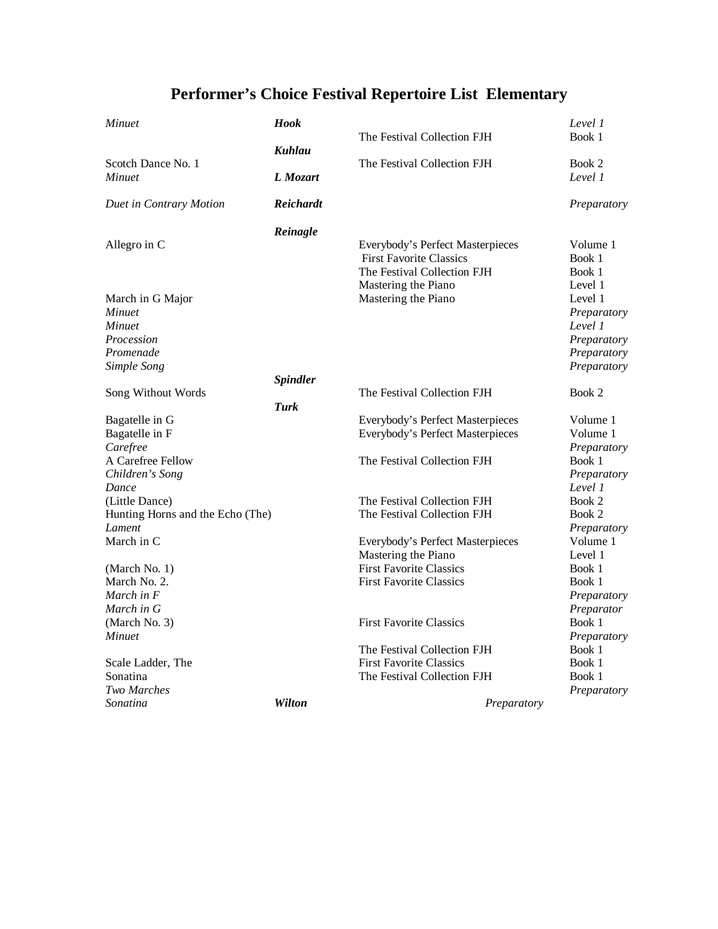| Minuet                                     | Hook            |                                                               | Level 1                 |
|--------------------------------------------|-----------------|---------------------------------------------------------------|-------------------------|
|                                            |                 | The Festival Collection FJH                                   | Book 1                  |
| Scotch Dance No. 1                         | Kuhlau          | The Festival Collection FJH                                   | Book 2                  |
| Minuet                                     | L Mozart        |                                                               | Level 1                 |
| Duet in Contrary Motion                    | Reichardt       |                                                               | Preparatory             |
|                                            | Reinagle        |                                                               |                         |
| Allegro in C                               |                 | Everybody's Perfect Masterpieces                              | Volume 1                |
|                                            |                 | <b>First Favorite Classics</b><br>The Festival Collection FJH | Book 1<br>Book 1        |
|                                            |                 | Mastering the Piano                                           | Level 1                 |
| March in G Major                           |                 | Mastering the Piano                                           | Level 1                 |
| <b>Minuet</b>                              |                 |                                                               | Preparatory             |
| Minuet                                     |                 |                                                               | Level 1                 |
| Procession                                 |                 |                                                               | Preparatory             |
| Promenade                                  |                 |                                                               | Preparatory             |
| Simple Song                                | <b>Spindler</b> |                                                               | Preparatory             |
| Song Without Words                         |                 | The Festival Collection FJH                                   | Book 2                  |
|                                            | Turk            |                                                               |                         |
| Bagatelle in G                             |                 | Everybody's Perfect Masterpieces                              | Volume 1                |
| Bagatelle in F                             |                 | Everybody's Perfect Masterpieces                              | Volume 1                |
| Carefree                                   |                 |                                                               | Preparatory             |
| A Carefree Fellow                          |                 | The Festival Collection FJH                                   | Book 1                  |
| Children's Song                            |                 |                                                               | Preparatory             |
| Dance                                      |                 |                                                               | Level 1                 |
| (Little Dance)                             |                 | The Festival Collection FJH                                   | Book 2                  |
| Hunting Horns and the Echo (The)<br>Lament |                 | The Festival Collection FJH                                   | Book 2                  |
| March in C                                 |                 | Everybody's Perfect Masterpieces                              | Preparatory<br>Volume 1 |
|                                            |                 | Mastering the Piano                                           | Level 1                 |
| (March No. 1)                              |                 | <b>First Favorite Classics</b>                                | Book 1                  |
| March No. 2.                               |                 | <b>First Favorite Classics</b>                                | Book 1                  |
| March in F                                 |                 |                                                               | Preparatory             |
| March in G                                 |                 |                                                               | Preparator              |
| (March No. 3)                              |                 | <b>First Favorite Classics</b>                                | Book 1                  |
| Minuet                                     |                 |                                                               | Preparatory             |
|                                            |                 | The Festival Collection FJH                                   | Book 1                  |
| Scale Ladder, The                          |                 | <b>First Favorite Classics</b>                                | Book 1                  |
| Sonatina                                   |                 | The Festival Collection FJH                                   | Book 1                  |
| <b>Two Marches</b>                         |                 |                                                               | Preparatory             |
| Sonatina                                   | <b>Wilton</b>   | Preparatory                                                   |                         |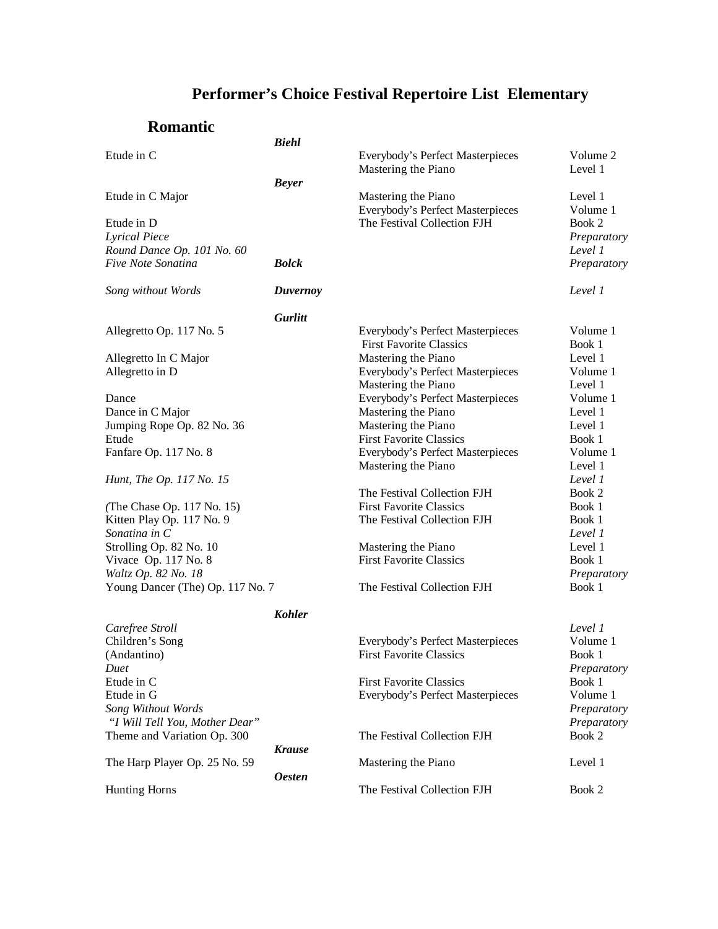|                                    | <b>Biehl</b>    |                                                                 |                       |
|------------------------------------|-----------------|-----------------------------------------------------------------|-----------------------|
| Etude in C                         |                 | Everybody's Perfect Masterpieces<br>Mastering the Piano         | Volume 2<br>Level 1   |
|                                    | <b>Beyer</b>    |                                                                 |                       |
| Etude in C Major                   |                 | Mastering the Piano                                             | Level 1               |
|                                    |                 | Everybody's Perfect Masterpieces<br>The Festival Collection FJH | Volume 1              |
| Etude in D<br><b>Lyrical Piece</b> |                 |                                                                 | Book 2<br>Preparatory |
| Round Dance Op. 101 No. 60         |                 |                                                                 | Level 1               |
| Five Note Sonatina                 | <b>Bolck</b>    |                                                                 | Preparatory           |
| Song without Words                 | <b>Duvernoy</b> |                                                                 | Level 1               |
|                                    | <b>Gurlitt</b>  |                                                                 |                       |
| Allegretto Op. 117 No. 5           |                 | Everybody's Perfect Masterpieces                                | Volume 1              |
|                                    |                 | <b>First Favorite Classics</b>                                  | Book 1                |
| Allegretto In C Major              |                 | Mastering the Piano                                             | Level 1               |
| Allegretto in D                    |                 | Everybody's Perfect Masterpieces                                | Volume 1              |
|                                    |                 | Mastering the Piano                                             | Level 1               |
| Dance                              |                 | Everybody's Perfect Masterpieces                                | Volume 1              |
| Dance in C Major                   |                 | Mastering the Piano                                             | Level 1               |
| Jumping Rope Op. 82 No. 36         |                 | Mastering the Piano                                             | Level 1               |
| Etude                              |                 | <b>First Favorite Classics</b>                                  | Book 1                |
| Fanfare Op. 117 No. 8              |                 | Everybody's Perfect Masterpieces                                | Volume 1              |
|                                    |                 | Mastering the Piano                                             | Level 1               |
| Hunt, The Op. 117 No. 15           |                 |                                                                 | Level 1               |
|                                    |                 | The Festival Collection FJH                                     | Book 2                |
| (The Chase Op. 117 No. 15)         |                 | <b>First Favorite Classics</b>                                  | Book 1                |
| Kitten Play Op. 117 No. 9          |                 | The Festival Collection FJH                                     | Book 1                |
| Sonatina in C                      |                 |                                                                 | Level 1               |
| Strolling Op. 82 No. 10            |                 | Mastering the Piano                                             | Level 1               |
| Vivace Op. 117 No. 8               |                 | <b>First Favorite Classics</b>                                  | Book 1                |
| Waltz Op. 82 No. 18                |                 |                                                                 | Preparatory           |
| Young Dancer (The) Op. 117 No. 7   |                 | The Festival Collection FJH                                     | Book 1                |
|                                    | <b>Kohler</b>   |                                                                 |                       |
| Carefree Stroll                    |                 |                                                                 | Level 1               |
| Children's Song                    |                 | Everybody's Perfect Masterpieces                                | Volume 1              |
| (Andantino)                        |                 | <b>First Favorite Classics</b>                                  | Book 1                |
| Duet<br>Etude in C                 |                 | <b>First Favorite Classics</b>                                  | Preparatory<br>Book 1 |
| Etude in G                         |                 | Everybody's Perfect Masterpieces                                | Volume 1              |
| Song Without Words                 |                 |                                                                 | Preparatory           |
| "I Will Tell You, Mother Dear"     |                 |                                                                 | Preparatory           |
| Theme and Variation Op. 300        |                 | The Festival Collection FJH                                     | Book 2                |
|                                    | <b>Krause</b>   |                                                                 |                       |
| The Harp Player Op. 25 No. 59      |                 | Mastering the Piano                                             | Level 1               |
|                                    | <b>Oesten</b>   |                                                                 |                       |
| <b>Hunting Horns</b>               |                 | The Festival Collection FJH                                     | Book 2                |
|                                    |                 |                                                                 |                       |

### **Romantic**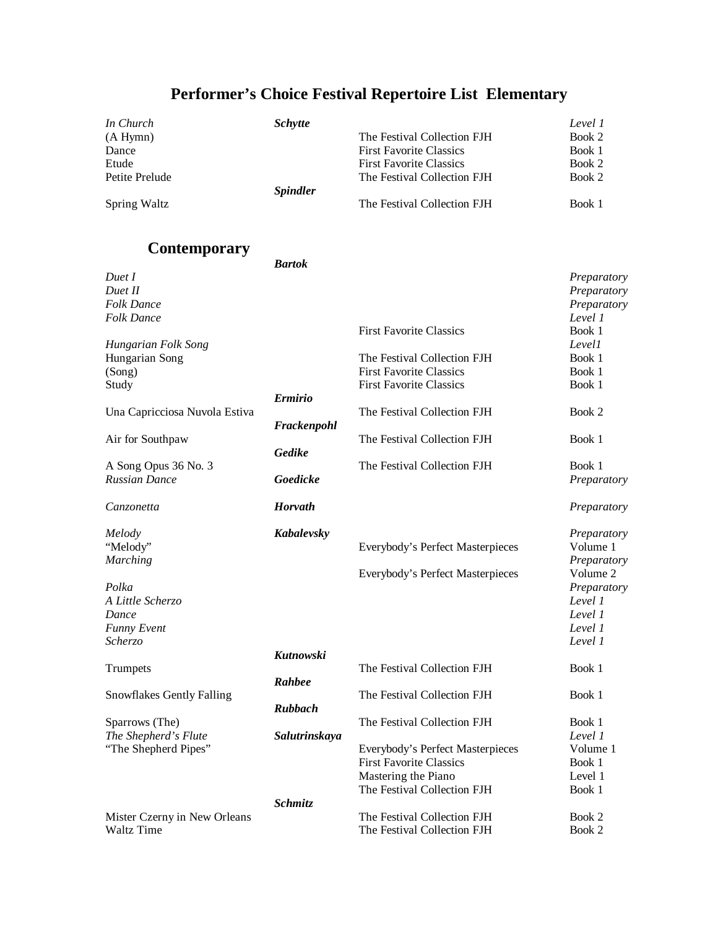| In Church                     | <b>Schytte</b>  |                                                    | Level 1                 |
|-------------------------------|-----------------|----------------------------------------------------|-------------------------|
| (A Hymn)                      |                 | The Festival Collection FJH                        | Book 2                  |
| Dance                         |                 | <b>First Favorite Classics</b>                     | Book 1                  |
| Etude                         |                 | <b>First Favorite Classics</b>                     | Book 2                  |
| Petite Prelude                |                 | The Festival Collection FJH                        | Book 2                  |
|                               | <b>Spindler</b> |                                                    |                         |
| Spring Waltz                  |                 | The Festival Collection FJH                        | Book 1                  |
| <b>Contemporary</b>           |                 |                                                    |                         |
|                               | <b>Bartok</b>   |                                                    |                         |
| Duet I                        |                 |                                                    | Preparatory             |
| Duet II                       |                 |                                                    | Preparatory             |
| <b>Folk Dance</b>             |                 |                                                    | Preparatory             |
| <b>Folk Dance</b>             |                 |                                                    | Level 1                 |
|                               |                 | <b>First Favorite Classics</b>                     | Book 1                  |
| Hungarian Folk Song           |                 |                                                    | Levell                  |
| Hungarian Song                |                 | The Festival Collection FJH                        | Book 1                  |
| (Song)                        |                 | <b>First Favorite Classics</b>                     | Book 1                  |
| Study                         |                 | <b>First Favorite Classics</b>                     | Book 1                  |
|                               | <b>Ermirio</b>  |                                                    |                         |
| Una Capricciosa Nuvola Estiva |                 | The Festival Collection FJH                        | Book 2                  |
|                               | Frackenpohl     |                                                    |                         |
| Air for Southpaw              |                 | The Festival Collection FJH                        | Book 1                  |
|                               | Gedike          |                                                    |                         |
| A Song Opus 36 No. 3          |                 | The Festival Collection FJH                        | Book 1                  |
| <b>Russian Dance</b>          | Goedicke        |                                                    | Preparatory             |
| Canzonetta                    | <b>Horvath</b>  |                                                    | Preparatory             |
|                               |                 |                                                    |                         |
| Melody                        | Kabalevsky      |                                                    | Preparatory             |
| "Melody"                      |                 | Everybody's Perfect Masterpieces                   | Volume 1                |
| <b>Marching</b>               |                 |                                                    | Preparatory<br>Volume 2 |
|                               |                 | Everybody's Perfect Masterpieces                   |                         |
| Polka                         |                 |                                                    | Preparatory<br>Level 1  |
| A Little Scherzo              |                 |                                                    | Level 1                 |
| Dance                         |                 |                                                    |                         |
| <b>Funny Event</b>            |                 |                                                    | Level 1                 |
| Scherzo                       |                 |                                                    | Level 1                 |
|                               | Kutnowski       |                                                    |                         |
| Trumpets                      |                 | The Festival Collection FJH                        | Book 1                  |
|                               | Rahbee          |                                                    |                         |
| Snowflakes Gently Falling     |                 | The Festival Collection FJH                        | Book 1                  |
|                               | <b>Rubbach</b>  |                                                    |                         |
| Sparrows (The)                |                 | The Festival Collection FJH                        | Book 1                  |
| The Shepherd's Flute          | Salutrinskaya   |                                                    | Level 1                 |
| "The Shepherd Pipes"          |                 | Everybody's Perfect Masterpieces                   | Volume 1                |
|                               |                 | <b>First Favorite Classics</b>                     | Book 1<br>Level 1       |
|                               |                 | Mastering the Piano<br>The Festival Collection FJH | Book 1                  |
|                               | <b>Schmitz</b>  |                                                    |                         |
| Mister Czerny in New Orleans  |                 | The Festival Collection FJH                        | Book 2                  |
| Waltz Time                    |                 | The Festival Collection FJH                        | Book 2                  |
|                               |                 |                                                    |                         |